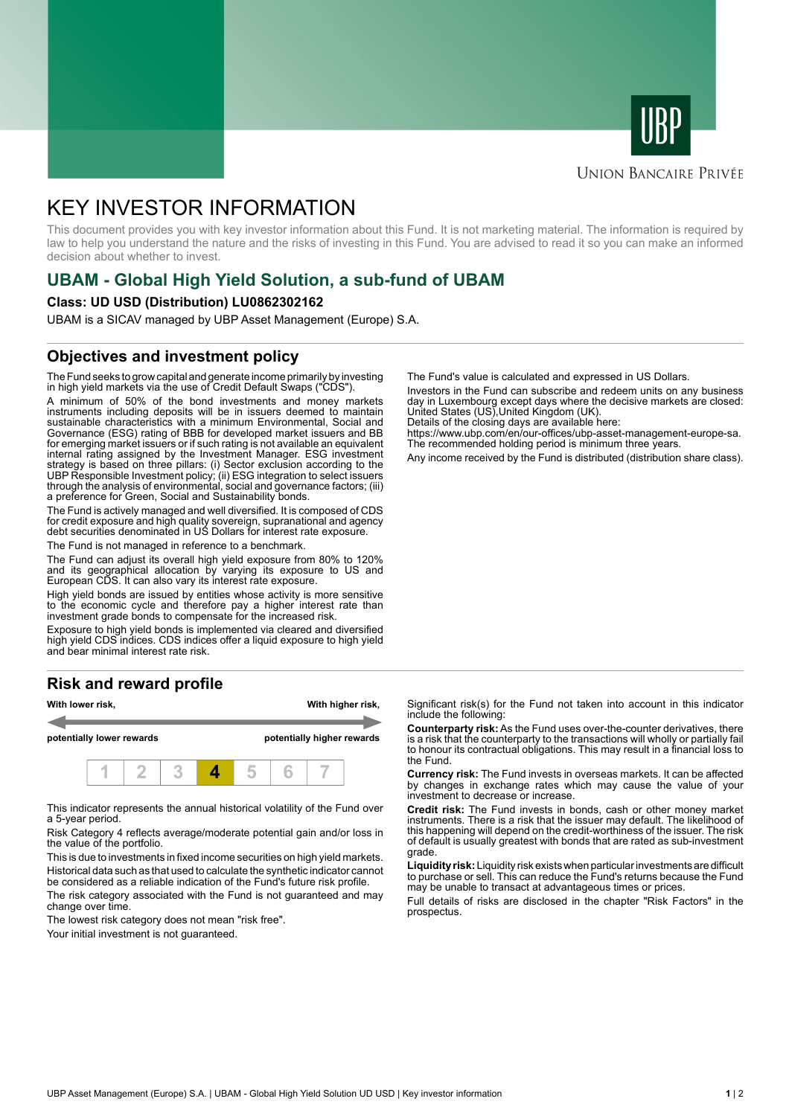



## **UNION BANCAIRE PRIVÉE**

# KEY INVESTOR INFORMATION

This document provides you with key investor information about this Fund. It is not marketing material. The information is required by law to help you understand the nature and the risks of investing in this Fund. You are advised to read it so you can make an informed decision about whether to invest.

# **UBAM - Global High Yield Solution, a sub-fund of UBAM**

#### **Class: UD USD (Distribution) LU0862302162**

UBAM is a SICAV managed by UBP Asset Management (Europe) S.A.

### **Objectives and investment policy**

The Fund seeks to grow capital and generate income primarily by investing in high yield markets via the use of Credit Default Swaps ("CDS").

A minimum of 50% of the bond investments and money markets instruments including deposits will be in issuers deemed to maintain sustainable characteristics with a minimum Environmental, Social and Governance (ESG) rating of BBB for developed market issuers and BB for emerging market issuers or if such rating is not available an equivalent internal rating assigned by the Investment Manager. ESG investment strategy is based on three pillars: (i) Sector exclusion according to the UBP Responsible Investment policy; (ii) ESG integration to select issuers through the analysis of environmental, social and governance factors; (iii) a preference for Green, Social and Sustainability bonds.

The Fund is actively managed and well diversified. It is composed of CDS for credit exposure and high quality sovereign, supranational and agency debt securities denominated in US Dollars for interest rate exposure.

The Fund is not managed in reference to a benchmark.

The Fund can adjust its overall high yield exposure from 80% to 120% and its geographical allocation by varying its exposure to US and European CDS. It can also vary its interest rate exposure.

High yield bonds are issued by entities whose activity is more sensitive to the economic cycle and therefore pay a higher interest rate than investment grade bonds to compensate for the increased risk.

Exposure to high yield bonds is implemented via cleared and diversified high yield CDS indices. CDS indices offer a liquid exposure to high yield and bear minimal interest rate risk.

# **Risk and reward profile**



This indicator represents the annual historical volatility of the Fund over a 5-year period.

Risk Category 4 reflects average/moderate potential gain and/or loss in the value of the portfolio.

This is due to investments in fixed income securities on high yield markets. Historical data such as that used to calculate the synthetic indicator cannot be considered as a reliable indication of the Fund's future risk profile. The risk category associated with the Fund is not guaranteed and may

change over time.

The lowest risk category does not mean "risk free".

Your initial investment is not guaranteed.

The Fund's value is calculated and expressed in US Dollars.

Investors in the Fund can subscribe and redeem units on any business day in Luxembourg except days where the decisive markets are closed: United States (US),United Kingdom (UK).

Details of the closing days are available here:

https://www.ubp.com/en/our-offices/ubp-asset-management-europe-sa. The recommended holding period is minimum three years.

Any income received by the Fund is distributed (distribution share class).

Significant risk(s) for the Fund not taken into account in this indicator include the following:

**Counterparty risk:** As the Fund uses over-the-counter derivatives, there is a risk that the counterparty to the transactions will wholly or partially fail to honour its contractual obligations. This may result in a financial loss to the Fund.

**Currency risk:** The Fund invests in overseas markets. It can be affected by changes in exchange rates which may cause the value of your investment to decrease or increase.

**Credit risk:** The Fund invests in bonds, cash or other money market instruments. There is a risk that the issuer may default. The likelihood of this happening will depend on the credit-worthiness of the issuer. The risk of default is usually greatest with bonds that are rated as sub-investment grade.

**Liquidity risk:** Liquidity risk exists when particular investments are difficult to purchase or sell. This can reduce the Fund's returns because the Fund may be unable to transact at advantageous times or prices.

Full details of risks are disclosed in the chapter "Risk Factors" in the prospectus.